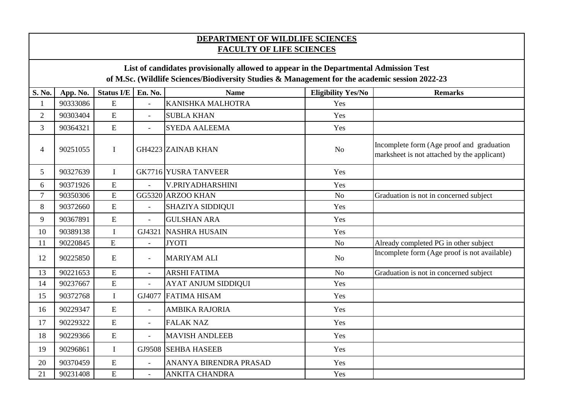## **DEPARTMENT OF WILDLIFE SCIENCES FACULTY OF LIFE SCIENCES**

## **List of candidates provisionally allowed to appear in the Departmental Admission Test of M.Sc. (Wildlife Sciences/Biodiversity Studies & Management for the academic session 2022-23**

| S. No.         | App. No. | <b>Status I/E</b> | En. No.                  | <b>Name</b>                 | <b>Eligibility Yes/No</b> | <b>Remarks</b>                                                                           |
|----------------|----------|-------------------|--------------------------|-----------------------------|---------------------------|------------------------------------------------------------------------------------------|
| 1              | 90333086 | E                 | $\overline{a}$           | KANISHKA MALHOTRA           | Yes                       |                                                                                          |
| $\overline{2}$ | 90303404 | E                 | $\overline{a}$           | <b>SUBLA KHAN</b>           | Yes                       |                                                                                          |
| 3              | 90364321 | E                 | $\overline{\phantom{0}}$ | <b>SYEDA AALEEMA</b>        | Yes                       |                                                                                          |
| $\overline{4}$ | 90251055 | $\mathbf I$       |                          | <b>GH4223 ZAINAB KHAN</b>   | N <sub>o</sub>            | Incomplete form (Age proof and graduation<br>marksheet is not attached by the applicant) |
| 5              | 90327639 | $\mathbf I$       |                          | <b>GK7716 YUSRA TANVEER</b> | Yes                       |                                                                                          |
| 6              | 90371926 | E                 |                          | V.PRIYADHARSHINI            | Yes                       |                                                                                          |
| $\overline{7}$ | 90350306 | $\overline{E}$    |                          | GG5320 ARZOO KHAN           | N <sub>o</sub>            | Graduation is not in concerned subject                                                   |
| 8              | 90372660 | ${\bf E}$         | $\blacksquare$           | <b>SHAZIYA SIDDIQUI</b>     | Yes                       |                                                                                          |
| 9              | 90367891 | $\overline{E}$    | $\overline{a}$           | <b>GULSHAN ARA</b>          | Yes                       |                                                                                          |
| 10             | 90389138 | $\mathbf I$       | GJ4321                   | <b>NASHRA HUSAIN</b>        | Yes                       |                                                                                          |
| 11             | 90220845 | E                 | $\overline{a}$           | <b>JYOTI</b>                | N <sub>o</sub>            | Already completed PG in other subject                                                    |
| 12             | 90225850 | ${\bf E}$         | $\overline{\phantom{0}}$ | <b>MARIYAM ALI</b>          | N <sub>o</sub>            | Incomplete form (Age proof is not available)                                             |
| 13             | 90221653 | E                 | $\blacksquare$           | <b>ARSHI FATIMA</b>         | N <sub>o</sub>            | Graduation is not in concerned subject                                                   |
| 14             | 90237667 | E                 |                          | <b>AYAT ANJUM SIDDIQUI</b>  | Yes                       |                                                                                          |
| 15             | 90372768 | $\mathbf I$       | GJ4077                   | <b>FATIMA HISAM</b>         | Yes                       |                                                                                          |
| 16             | 90229347 | ${\bf E}$         | $\equiv$                 | <b>AMBIKA RAJORIA</b>       | Yes                       |                                                                                          |
| 17             | 90229322 | E                 | $\blacksquare$           | <b>FALAK NAZ</b>            | Yes                       |                                                                                          |
| 18             | 90229366 | E                 | $\overline{a}$           | <b>MAVISH ANDLEEB</b>       | Yes                       |                                                                                          |
| 19             | 90296861 | $\mathbf I$       | GJ9508                   | <b>SEHBA HASEEB</b>         | Yes                       |                                                                                          |
| 20             | 90370459 | E                 | $\overline{\phantom{0}}$ | ANANYA BIRENDRA PRASAD      | Yes                       |                                                                                          |
| 21             | 90231408 | E                 | $\overline{a}$           | <b>ANKITA CHANDRA</b>       | Yes                       |                                                                                          |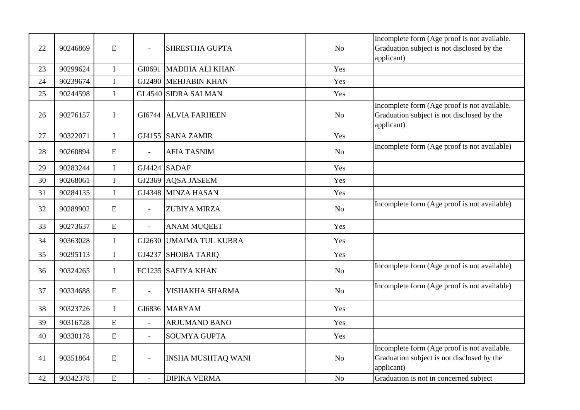| 22 | 90246869 | ${\bf E}$      | $\blacksquare$           | SHRESTHA GUPTA             | N <sub>o</sub> | Incomplete form (Age proof is not available.<br>Graduation subject is not disclosed by the<br>applicant) |
|----|----------|----------------|--------------------------|----------------------------|----------------|----------------------------------------------------------------------------------------------------------|
| 23 | 90299624 | $\mathbf I$    | GI0691                   | <b>MADIHA ALI KHAN</b>     | Yes            |                                                                                                          |
| 24 | 90239674 | $\mathbf I$    | GJ2490                   | <b>MEHJABIN KHAN</b>       | Yes            |                                                                                                          |
| 25 | 90244598 | $\mathbf I$    |                          | <b>GL4540 SIDRA SALMAN</b> | Yes            |                                                                                                          |
| 26 | 90276157 | $\mathbf I$    | GI6744                   | <b>ALVIA FARHEEN</b>       | N <sub>o</sub> | Incomplete form (Age proof is not available.<br>Graduation subject is not disclosed by the<br>applicant) |
| 27 | 90322071 | $\bf I$        | GJ4155                   | <b>SANA ZAMIR</b>          | Yes            |                                                                                                          |
| 28 | 90260894 | ${\bf E}$      | $\overline{a}$           | <b>AFIA TASNIM</b>         | N <sub>o</sub> | Incomplete form (Age proof is not available)                                                             |
| 29 | 90283244 | $\mathbf{I}$   | GJ4424                   | <b>SADAF</b>               | Yes            |                                                                                                          |
| 30 | 90268061 | $\mathbf I$    | GJ2369                   | <b>AQSA JASEEM</b>         | Yes            |                                                                                                          |
| 31 | 90284135 | $\bf I$        | GJ4348                   | MINZA HASAN                | Yes            |                                                                                                          |
| 32 | 90289902 | E              | $\overline{\phantom{a}}$ | ZUBIYA MIRZA               | <b>No</b>      | Incomplete form (Age proof is not available)                                                             |
| 33 | 90273637 | E              | $\overline{a}$           | <b>ANAM MUQEET</b>         | Yes            |                                                                                                          |
| 34 | 90363028 | $\mathbf I$    | GJ2630                   | <b>UMAIMA TUL KUBRA</b>    | Yes            |                                                                                                          |
| 35 | 90295113 | $\mathbf I$    | GJ4237                   | <b>SHOIBA TARIQ</b>        | Yes            |                                                                                                          |
| 36 | 90324265 | $\mathbf I$    |                          | FC1235 SAFIYA KHAN         | N <sub>o</sub> | Incomplete form (Age proof is not available)                                                             |
| 37 | 90334688 | ${\bf E}$      | $\equiv$                 | <b>VISHAKHA SHARMA</b>     | N <sub>o</sub> | Incomplete form (Age proof is not available)                                                             |
| 38 | 90323726 | $\bf I$        | GI6836                   | <b>MARYAM</b>              | Yes            |                                                                                                          |
| 39 | 90316728 | $\overline{E}$ | $\equiv$                 | <b>ARJUMAND BANO</b>       | Yes            |                                                                                                          |
| 40 | 90330178 | E              | $\equiv$                 | <b>SOUMYA GUPTA</b>        | Yes            |                                                                                                          |
| 41 | 90351864 | ${\bf E}$      | $\overline{\phantom{a}}$ | <b>INSHA MUSHTAQ WANI</b>  | <b>No</b>      | Incomplete form (Age proof is not available.<br>Graduation subject is not disclosed by the<br>applicant) |
| 42 | 90342378 | E              |                          | <b>DIPIKA VERMA</b>        | N <sub>o</sub> | Graduation is not in concerned subject                                                                   |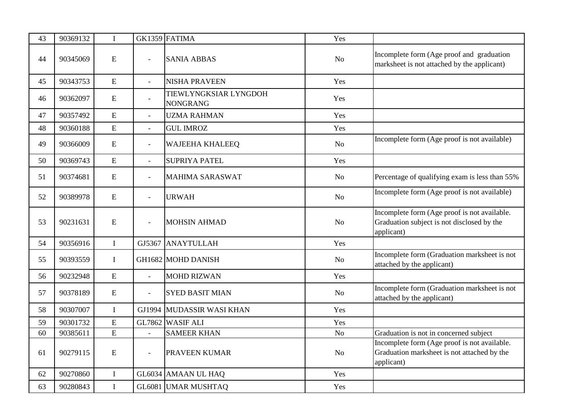| 43 | 90369132 | $\mathbf I$  |                          | GK1359 FATIMA                            | Yes            |                                                                                                           |
|----|----------|--------------|--------------------------|------------------------------------------|----------------|-----------------------------------------------------------------------------------------------------------|
| 44 | 90345069 | ${\bf E}$    | $\overline{\phantom{0}}$ | <b>SANIA ABBAS</b>                       | N <sub>o</sub> | Incomplete form (Age proof and graduation<br>marksheet is not attached by the applicant)                  |
| 45 | 90343753 | ${\bf E}$    | $\overline{\phantom{0}}$ | <b>NISHA PRAVEEN</b>                     | Yes            |                                                                                                           |
| 46 | 90362097 | ${\bf E}$    | $\overline{\phantom{a}}$ | TIEWLYNGKSIAR LYNGDOH<br><b>NONGRANG</b> | Yes            |                                                                                                           |
| 47 | 90357492 | E            | $\overline{\phantom{a}}$ | <b>UZMA RAHMAN</b>                       | Yes            |                                                                                                           |
| 48 | 90360188 | E            | $\overline{a}$           | <b>GUL IMROZ</b>                         | Yes            |                                                                                                           |
| 49 | 90366009 | ${\bf E}$    | $\overline{\phantom{a}}$ | <b>WAJEEHA KHALEEQ</b>                   | No             | Incomplete form (Age proof is not available)                                                              |
| 50 | 90369743 | E            | $\overline{\phantom{0}}$ | <b>SUPRIYA PATEL</b>                     | Yes            |                                                                                                           |
| 51 | 90374681 | ${\bf E}$    | $\overline{\phantom{a}}$ | <b>MAHIMA SARASWAT</b>                   | No             | Percentage of qualifying exam is less than 55%                                                            |
| 52 | 90389978 | ${\bf E}$    | $\overline{\phantom{0}}$ | <b>URWAH</b>                             | No             | Incomplete form (Age proof is not available)                                                              |
| 53 | 90231631 | ${\bf E}$    | $\overline{a}$           | <b>MOHSIN AHMAD</b>                      | No             | Incomplete form (Age proof is not available.<br>Graduation subject is not disclosed by the<br>applicant)  |
| 54 | 90356916 | $\bf I$      | GJ5367                   | ANAYTULLAH                               | Yes            |                                                                                                           |
| 55 | 90393559 | $\mathbf I$  |                          | GH1682 MOHD DANISH                       | No             | Incomplete form (Graduation marksheet is not<br>attached by the applicant)                                |
| 56 | 90232948 | E            | $\overline{\phantom{a}}$ | <b>MOHD RIZWAN</b>                       | Yes            |                                                                                                           |
| 57 | 90378189 | ${\bf E}$    | $\overline{\phantom{a}}$ | <b>SYED BASIT MIAN</b>                   | N <sub>o</sub> | Incomplete form (Graduation marksheet is not<br>attached by the applicant)                                |
| 58 | 90307007 | $\bf{I}$     | GJ1994                   | MUDASSIR WASI KHAN                       | Yes            |                                                                                                           |
| 59 | 90301732 | E            |                          | GL7862 WASIF ALI                         | Yes            |                                                                                                           |
| 60 | 90385611 | E            | $\overline{a}$           | <b>SAMEER KHAN</b>                       | N <sub>o</sub> | Graduation is not in concerned subject                                                                    |
| 61 | 90279115 | ${\bf E}$    | $\overline{\phantom{0}}$ | PRAVEEN KUMAR                            | $\rm No$       | Incomplete form (Age proof is not available.<br>Graduation marksheet is not attached by the<br>applicant) |
| 62 | 90270860 | $\mathbf I$  |                          | GL6034 AMAAN UL HAQ                      | Yes            |                                                                                                           |
| 63 | 90280843 | $\mathbf{I}$ |                          | GL6081 UMAR MUSHTAQ                      | Yes            |                                                                                                           |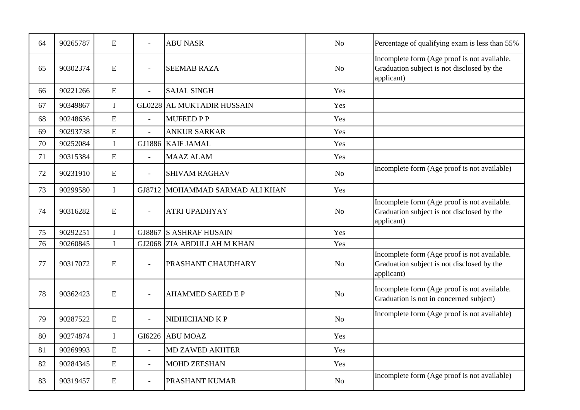| 64 | 90265787 | ${\bf E}$   | $\overline{a}$ | <b>ABU NASR</b>                   | N <sub>o</sub> | Percentage of qualifying exam is less than 55%                                                           |
|----|----------|-------------|----------------|-----------------------------------|----------------|----------------------------------------------------------------------------------------------------------|
| 65 | 90302374 | ${\bf E}$   | $\overline{a}$ | <b>SEEMAB RAZA</b>                | No             | Incomplete form (Age proof is not available.<br>Graduation subject is not disclosed by the<br>applicant) |
| 66 | 90221266 | ${\bf E}$   | $\overline{a}$ | <b>SAJAL SINGH</b>                | Yes            |                                                                                                          |
| 67 | 90349867 | $\mathbf I$ |                | <b>GL0228 AL MUKTADIR HUSSAIN</b> | Yes            |                                                                                                          |
| 68 | 90248636 | E           | $\overline{a}$ | <b>MUFEED P P</b>                 | Yes            |                                                                                                          |
| 69 | 90293738 | ${\bf E}$   | $\equiv$       | <b>ANKUR SARKAR</b>               | Yes            |                                                                                                          |
| 70 | 90252084 | $\mathbf I$ | GJ1886         | <b>KAIF JAMAL</b>                 | Yes            |                                                                                                          |
| 71 | 90315384 | ${\bf E}$   | $\overline{a}$ | <b>MAAZ ALAM</b>                  | Yes            |                                                                                                          |
| 72 | 90231910 | ${\bf E}$   | $\overline{a}$ | <b>SHIVAM RAGHAV</b>              | N <sub>o</sub> | Incomplete form (Age proof is not available)                                                             |
| 73 | 90299580 | $\mathbf I$ | GJ8712         | MOHAMMAD SARMAD ALI KHAN          | Yes            |                                                                                                          |
| 74 | 90316282 | ${\bf E}$   | $\equiv$       | <b>ATRI UPADHYAY</b>              | No             | Incomplete form (Age proof is not available.<br>Graduation subject is not disclosed by the<br>applicant) |
| 75 | 90292251 | $\mathbf I$ | GJ8867         | <b>S ASHRAF HUSAIN</b>            | Yes            |                                                                                                          |
| 76 | 90260845 | $\mathbf I$ | GJ2068         | <b>ZIA ABDULLAH M KHAN</b>        | Yes            |                                                                                                          |
| 77 | 90317072 | E           | $\overline{a}$ | PRASHANT CHAUDHARY                | No             | Incomplete form (Age proof is not available.<br>Graduation subject is not disclosed by the<br>applicant) |
| 78 | 90362423 | ${\bf E}$   | $\overline{a}$ | <b>AHAMMED SAEED E P</b>          | No             | Incomplete form (Age proof is not available.<br>Graduation is not in concerned subject)                  |
| 79 | 90287522 | ${\bf E}$   | $\overline{a}$ | NIDHICHAND K P                    | No             | Incomplete form (Age proof is not available)                                                             |
| 80 | 90274874 | $\mathbf I$ | GI6226         | <b>ABU MOAZ</b>                   | Yes            |                                                                                                          |
| 81 | 90269993 | ${\bf E}$   | $\overline{a}$ | <b>MD ZAWED AKHTER</b>            | Yes            |                                                                                                          |
| 82 | 90284345 | E           | $\overline{a}$ | <b>MOHD ZEESHAN</b>               | Yes            |                                                                                                          |
| 83 | 90319457 | ${\bf E}$   | $\equiv$       | <b>PRASHANT KUMAR</b>             | N <sub>o</sub> | Incomplete form (Age proof is not available)                                                             |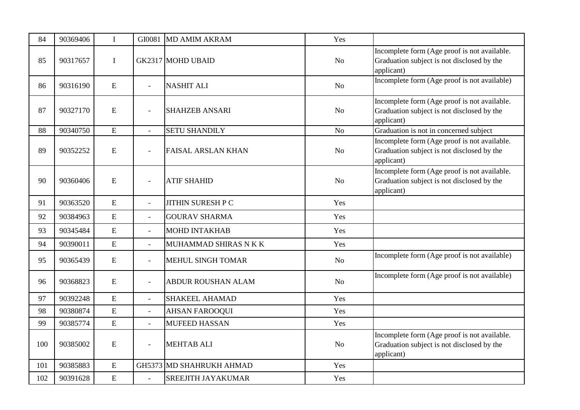| 84  | 90369406 | $\mathbf I$ | GI0081         | <b>MD AMIM AKRAM</b>            | Yes            |                                                                                                          |
|-----|----------|-------------|----------------|---------------------------------|----------------|----------------------------------------------------------------------------------------------------------|
| 85  | 90317657 | $\mathbf I$ |                | <b>GK2317 MOHD UBAID</b>        | N <sub>o</sub> | Incomplete form (Age proof is not available.<br>Graduation subject is not disclosed by the<br>applicant) |
| 86  | 90316190 | E           | $\blacksquare$ | <b>NASHIT ALI</b>               | N <sub>o</sub> | Incomplete form (Age proof is not available)                                                             |
| 87  | 90327170 | E           | $\bar{a}$      | <b>SHAHZEB ANSARI</b>           | N <sub>o</sub> | Incomplete form (Age proof is not available.<br>Graduation subject is not disclosed by the<br>applicant) |
| 88  | 90340750 | ${\bf E}$   |                | <b>SETU SHANDILY</b>            | N <sub>o</sub> | Graduation is not in concerned subject                                                                   |
| 89  | 90352252 | E           | $\bar{a}$      | <b>FAISAL ARSLAN KHAN</b>       | N <sub>o</sub> | Incomplete form (Age proof is not available.<br>Graduation subject is not disclosed by the<br>applicant) |
| 90  | 90360406 | E           | $\blacksquare$ | <b>ATIF SHAHID</b>              | N <sub>o</sub> | Incomplete form (Age proof is not available.<br>Graduation subject is not disclosed by the<br>applicant) |
| 91  | 90363520 | E           | $\overline{a}$ | <b>JITHIN SURESH P C</b>        | Yes            |                                                                                                          |
| 92  | 90384963 | E           | $\blacksquare$ | <b>GOURAV SHARMA</b>            | Yes            |                                                                                                          |
| 93  | 90345484 | E           | $\bar{a}$      | <b>MOHD INTAKHAB</b>            | Yes            |                                                                                                          |
| 94  | 90390011 | ${\bf E}$   | $\overline{a}$ | MUHAMMAD SHIRAS N K K           | Yes            |                                                                                                          |
| 95  | 90365439 | E           | $\blacksquare$ | <b>MEHUL SINGH TOMAR</b>        | N <sub>o</sub> | Incomplete form (Age proof is not available)                                                             |
| 96  | 90368823 | E           | $\blacksquare$ | <b>ABDUR ROUSHAN ALAM</b>       | N <sub>o</sub> | Incomplete form (Age proof is not available)                                                             |
| 97  | 90392248 | ${\bf E}$   | $\overline{a}$ | <b>SHAKEEL AHAMAD</b>           | Yes            |                                                                                                          |
| 98  | 90380874 | ${\bf E}$   | $\overline{a}$ | <b>AHSAN FAROOQUI</b>           | Yes            |                                                                                                          |
| 99  | 90385774 | E           | $\overline{a}$ | <b>MUFEED HASSAN</b>            | Yes            |                                                                                                          |
| 100 | 90385002 | ${\bf E}$   | $\blacksquare$ | <b>MEHTAB ALI</b>               | N <sub>o</sub> | Incomplete form (Age proof is not available.<br>Graduation subject is not disclosed by the<br>applicant) |
| 101 | 90385883 | E           |                | <b>GH5373 MD SHAHRUKH AHMAD</b> | Yes            |                                                                                                          |
| 102 | 90391628 | ${\bf E}$   |                | <b>SREEJITH JAYAKUMAR</b>       | Yes            |                                                                                                          |